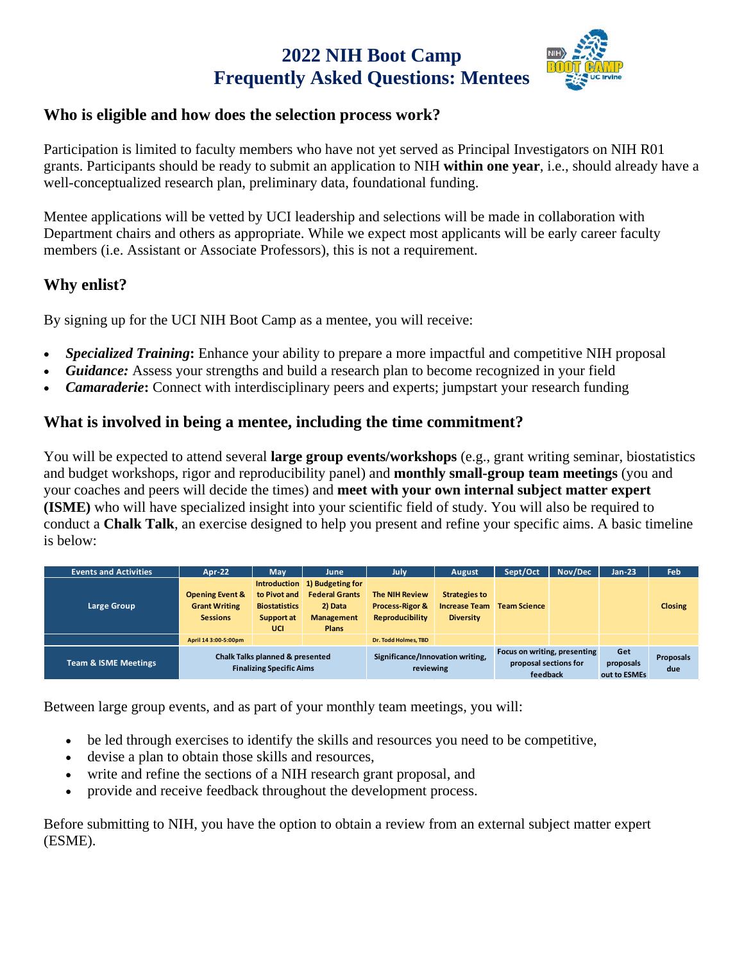## **2022 NIH Boot Camp Frequently Asked Questions: Mentees**



#### **Who is eligible and how does the selection process work?**

Participation is limited to faculty members who have not yet served as Principal Investigators on NIH R01 grants. Participants should be ready to submit an application to NIH **within one year**, i.e., should already have a well-conceptualized research plan, preliminary data, foundational funding.

Mentee applications will be vetted by UCI leadership and selections will be made in collaboration with Department chairs and others as appropriate. While we expect most applicants will be early career faculty members (i.e. Assistant or Associate Professors), this is not a requirement.

#### **Why enlist?**

By signing up for the UCI NIH Boot Camp as a mentee, you will receive:

- *Specialized Training*: Enhance your ability to prepare a more impactful and competitive NIH proposal
- *Guidance:* Assess your strengths and build a research plan to become recognized in your field
- *Camaraderie***:** Connect with interdisciplinary peers and experts; jumpstart your research funding

#### **What is involved in being a mentee, including the time commitment?**

You will be expected to attend several **large group events/workshops** (e.g., grant writing seminar, biostatistics and budget workshops, rigor and reproducibility panel) and **monthly small-group team meetings** (you and your coaches and peers will decide the times) and **meet with your own internal subject matter expert (ISME)** who will have specialized insight into your scientific field of study. You will also be required to conduct a **Chalk Talk**, an exercise designed to help you present and refine your specific aims. A basic timeline is below:

| <b>Events and Activities</b>    | Apr-22                                                                | Mav                                                       | June                                                                                                   | July                                                                          | August                                                           | Sept/Oct                                                          | Nov/Dec | <b>Jan-23</b>                    | <b>Feb</b>              |
|---------------------------------|-----------------------------------------------------------------------|-----------------------------------------------------------|--------------------------------------------------------------------------------------------------------|-------------------------------------------------------------------------------|------------------------------------------------------------------|-------------------------------------------------------------------|---------|----------------------------------|-------------------------|
| Large Group                     | <b>Opening Event &amp;</b><br><b>Grant Writing</b><br><b>Sessions</b> | to Pivot and<br><b>Biostatistics</b><br>Support at<br>UCI | Introduction 1) Budgeting for<br><b>Federal Grants</b><br>2) Data<br><b>Management</b><br><b>Plans</b> | <b>The NIH Review</b><br><b>Process-Rigor &amp;</b><br><b>Reproducibility</b> | <b>Strategies to</b><br><b>Increase Team</b><br><b>Diversity</b> | <b>Team Science</b>                                               |         |                                  | <b>Closing</b>          |
|                                 | April 14 3:00-5:00pm                                                  |                                                           |                                                                                                        | <b>Dr. Todd Holmes, TBD</b>                                                   |                                                                  |                                                                   |         |                                  |                         |
| <b>Team &amp; ISME Meetings</b> | Chalk Talks planned & presented<br><b>Finalizing Specific Aims</b>    |                                                           |                                                                                                        | Significance/Innovation writing,<br>reviewing                                 |                                                                  | Focus on writing, presenting<br>proposal sections for<br>feedback |         | Get<br>proposals<br>out to ESMEs | <b>Proposals</b><br>due |

Between large group events, and as part of your monthly team meetings, you will:

- be led through exercises to identify the skills and resources you need to be competitive,
- devise a plan to obtain those skills and resources,
- write and refine the sections of a NIH research grant proposal, and
- provide and receive feedback throughout the development process.

Before submitting to NIH, you have the option to obtain a review from an external subject matter expert (ESME).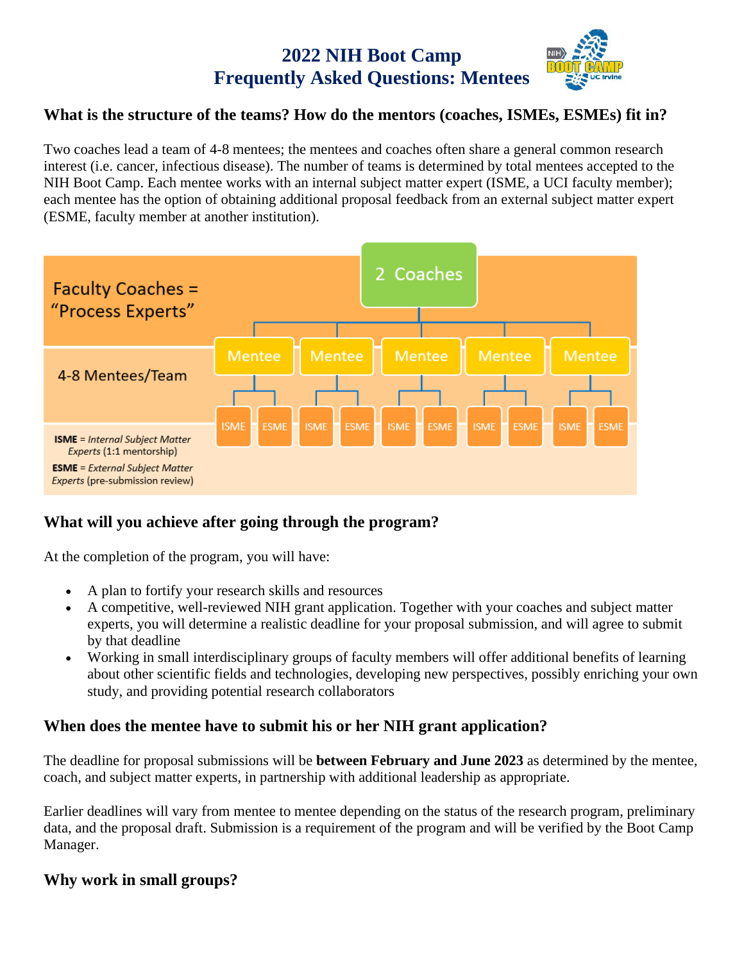# **2022 NIH Boot Camp Frequently Asked Questions: Mentees**



#### **What is the structure of the teams? How do the mentors (coaches, ISMEs, ESMEs) fit in?**

Two coaches lead a team of 4-8 mentees; the mentees and coaches often share a general common research interest (i.e. cancer, infectious disease). The number of teams is determined by total mentees accepted to the NIH Boot Camp. Each mentee works with an internal subject matter expert (ISME, a UCI faculty member); each mentee has the option of obtaining additional proposal feedback from an external subject matter expert (ESME, faculty member at another institution).



#### **What will you achieve after going through the program?**

At the completion of the program, you will have:

- A plan to fortify your research skills and resources
- A competitive, well-reviewed NIH grant application. Together with your coaches and subject matter experts, you will determine a realistic deadline for your proposal submission, and will agree to submit by that deadline
- Working in small interdisciplinary groups of faculty members will offer additional benefits of learning about other scientific fields and technologies, developing new perspectives, possibly enriching your own study, and providing potential research collaborators

#### **When does the mentee have to submit his or her NIH grant application?**

The deadline for proposal submissions will be **between February and June 2023** as determined by the mentee, coach, and subject matter experts, in partnership with additional leadership as appropriate.

Earlier deadlines will vary from mentee to mentee depending on the status of the research program, preliminary data, and the proposal draft. Submission is a requirement of the program and will be verified by the Boot Camp Manager.

#### **Why work in small groups?**